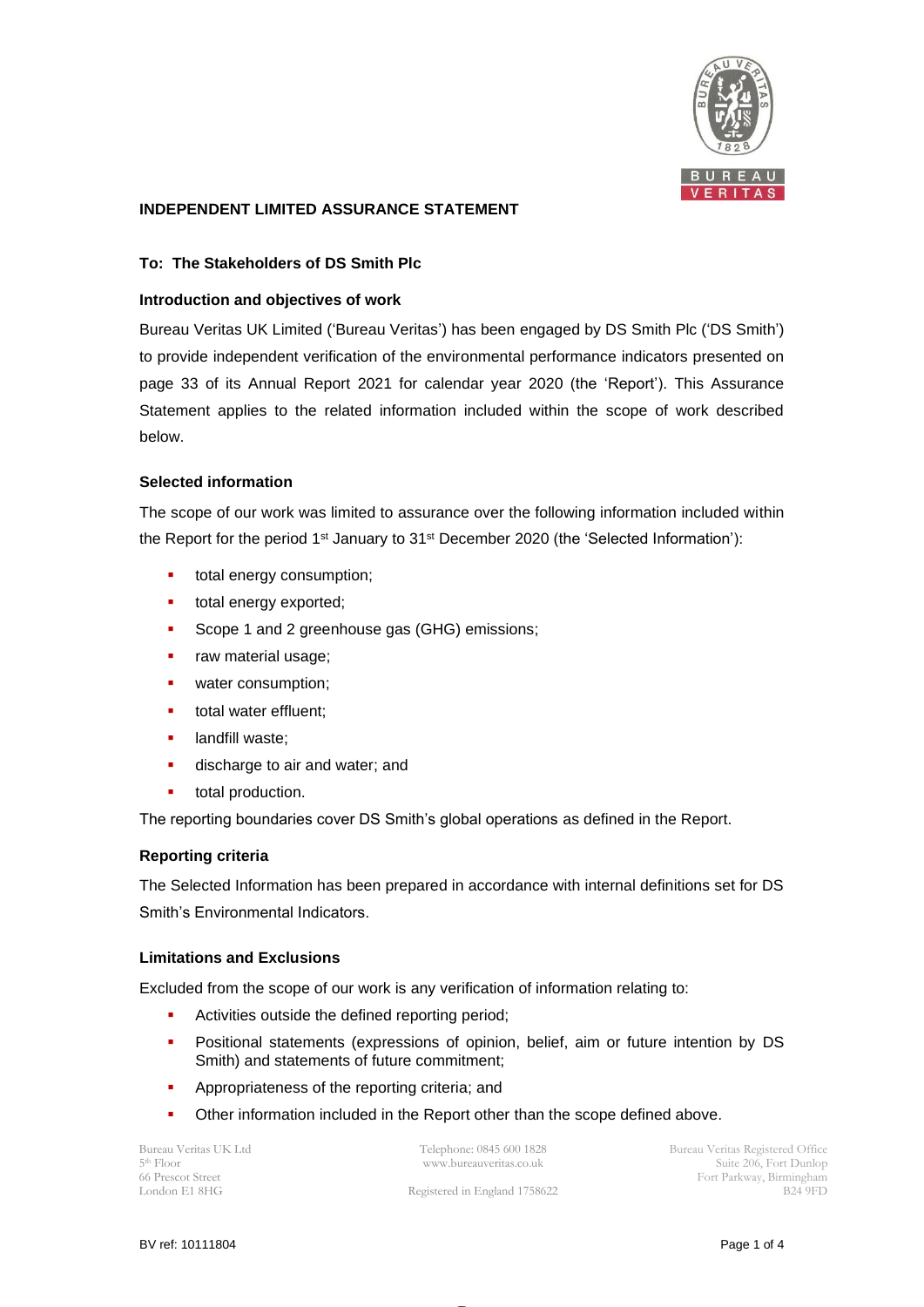

# **INDEPENDENT LIMITED ASSURANCE STATEMENT**

## **To: The Stakeholders of DS Smith Plc**

### **Introduction and objectives of work**

Bureau Veritas UK Limited ('Bureau Veritas') has been engaged by DS Smith Plc ('DS Smith') to provide independent verification of the environmental performance indicators presented on page 33 of its Annual Report 2021 for calendar year 2020 (the 'Report'). This Assurance Statement applies to the related information included within the scope of work described below.

## **Selected information**

The scope of our work was limited to assurance over the following information included within the Report for the period 1<sup>st</sup> January to 31<sup>st</sup> December 2020 (the 'Selected Information'):

- total energy consumption;
- total energy exported;
- Scope 1 and 2 greenhouse gas (GHG) emissions;
- **•** raw material usage;
- water consumption;
- total water effluent;
- **■** landfill waste;
- **•** discharge to air and water; and
- total production.

The reporting boundaries cover DS Smith's global operations as defined in the Report.

### **Reporting criteria**

The Selected Information has been prepared in accordance with internal definitions set for DS Smith's Environmental Indicators.

### **Limitations and Exclusions**

Excluded from the scope of our work is any verification of information relating to:

- Activities outside the defined reporting period;
- **•** Positional statements (expressions of opinion, belief, aim or future intention by DS Smith) and statements of future commitment;
- **•** Appropriateness of the reporting criteria; and
- Other information included in the Report other than the scope defined above.

Bureau Veritas UK Ltd 5 th Floor 66 Prescot Street London E1 8HG

Telephone: 0845 600 1828 www.bureauveritas.co.uk

Registered in England 1758622

Bureau Veritas Registered Office Suite 206, Fort Dunlop Fort Parkway, Birmingham B24 9FD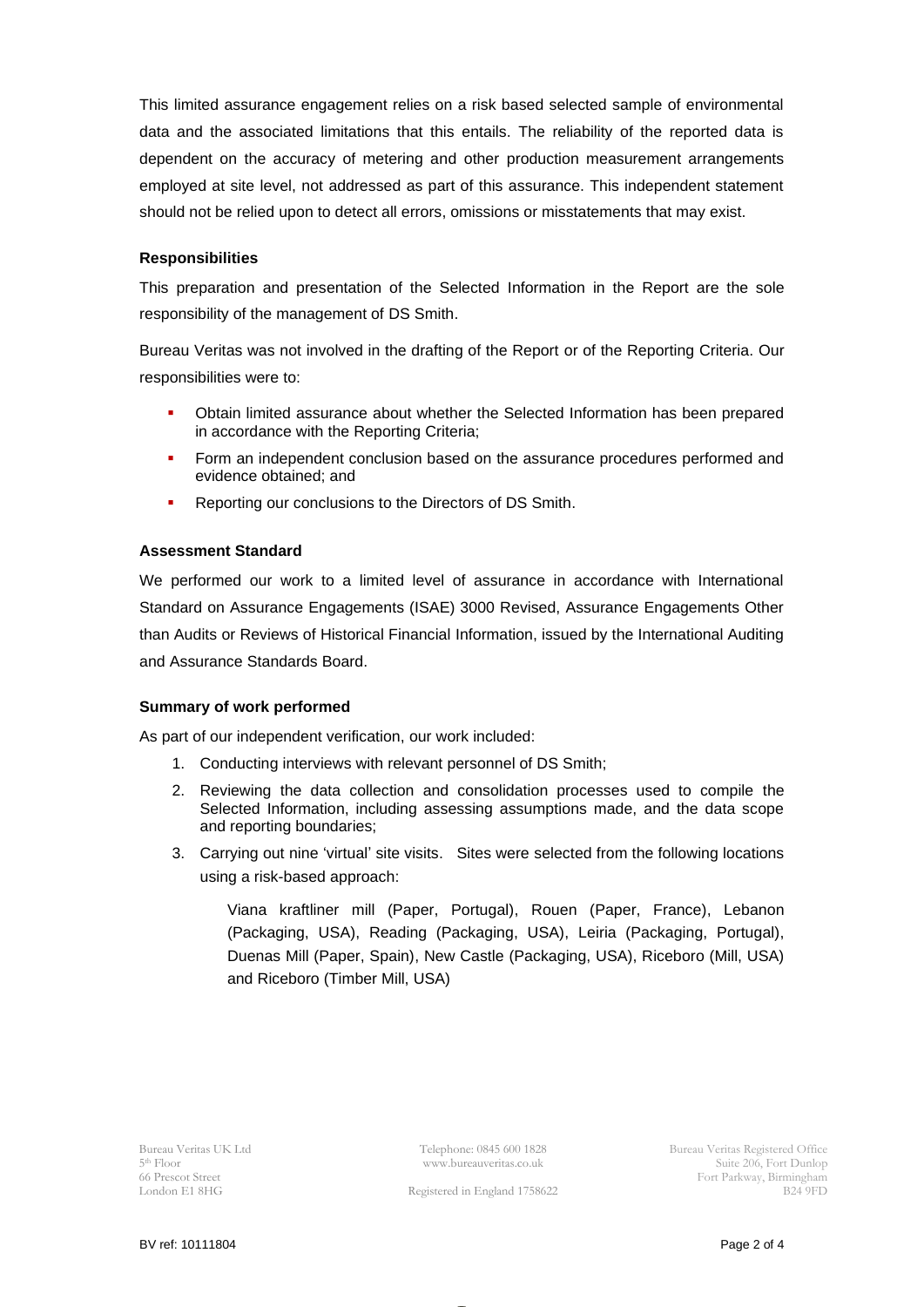This limited assurance engagement relies on a risk based selected sample of environmental data and the associated limitations that this entails. The reliability of the reported data is dependent on the accuracy of metering and other production measurement arrangements employed at site level, not addressed as part of this assurance. This independent statement should not be relied upon to detect all errors, omissions or misstatements that may exist.

### **Responsibilities**

This preparation and presentation of the Selected Information in the Report are the sole responsibility of the management of DS Smith.

Bureau Veritas was not involved in the drafting of the Report or of the Reporting Criteria. Our responsibilities were to:

- Obtain limited assurance about whether the Selected Information has been prepared in accordance with the Reporting Criteria;
- **•** Form an independent conclusion based on the assurance procedures performed and evidence obtained; and
- **Reporting our conclusions to the Directors of DS Smith.**

## **Assessment Standard**

We performed our work to a limited level of assurance in accordance with International Standard on Assurance Engagements (ISAE) 3000 Revised, Assurance Engagements Other than Audits or Reviews of Historical Financial Information, issued by the International Auditing and Assurance Standards Board.

### **Summary of work performed**

As part of our independent verification, our work included:

- 1. Conducting interviews with relevant personnel of DS Smith;
- 2. Reviewing the data collection and consolidation processes used to compile the Selected Information, including assessing assumptions made, and the data scope and reporting boundaries;
- 3. Carrying out nine 'virtual' site visits. Sites were selected from the following locations using a risk-based approach:

Viana kraftliner mill (Paper, Portugal), Rouen (Paper, France), Lebanon (Packaging, USA), Reading (Packaging, USA), Leiria (Packaging, Portugal), Duenas Mill (Paper, Spain), New Castle (Packaging, USA), Riceboro (Mill, USA) and Riceboro (Timber Mill, USA)

Bureau Veritas UK Ltd 5 th Floor 66 Prescot Street London E1 8HG

Telephone: 0845 600 1828 www.bureauveritas.co.uk

Bureau Veritas Registered Office Suite 206, Fort Dunlop Fort Parkway, Birmingham B24 9FD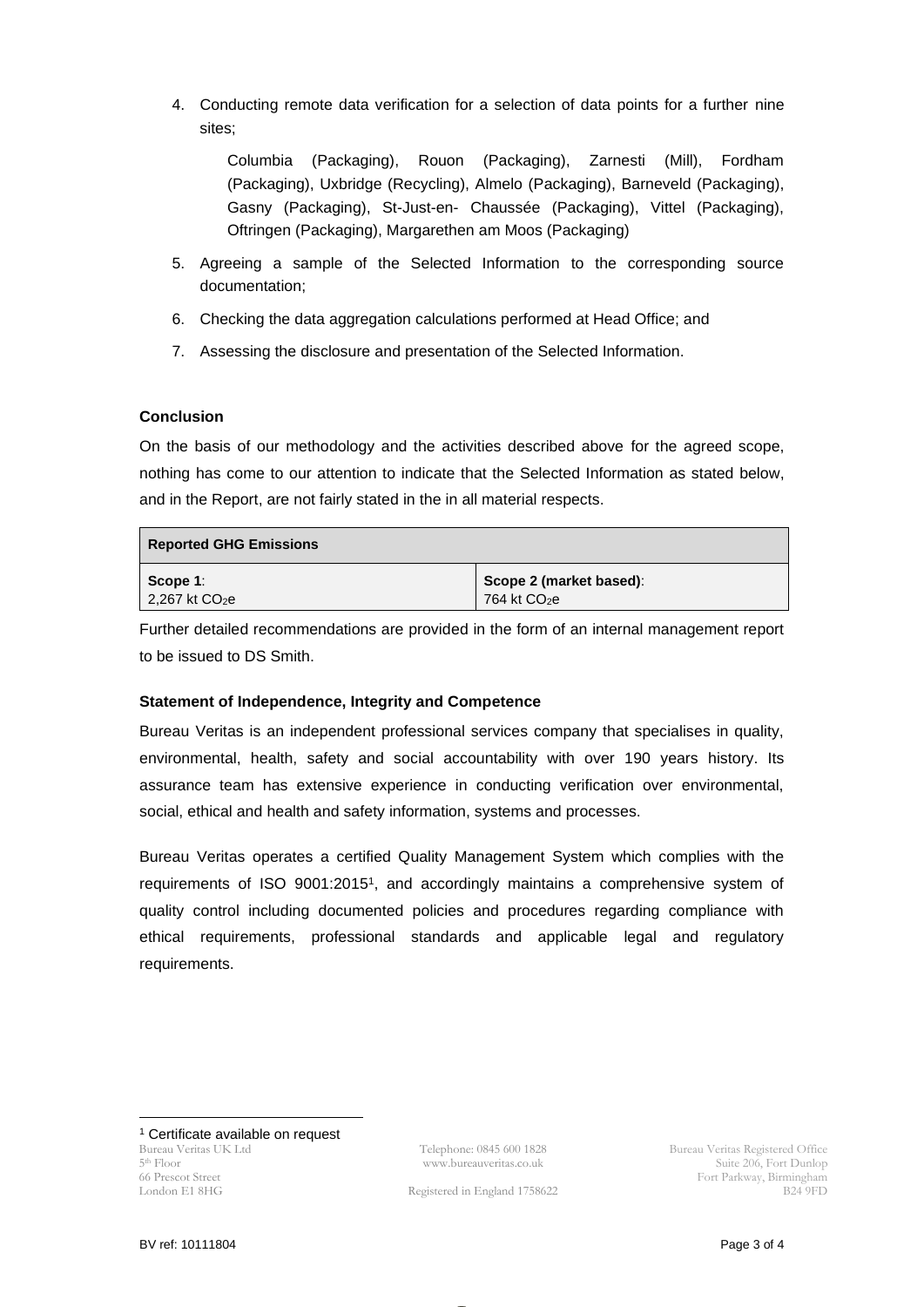4. Conducting remote data verification for a selection of data points for a further nine sites;

Columbia (Packaging), Rouon (Packaging), Zarnesti (Mill), Fordham (Packaging), Uxbridge (Recycling), Almelo (Packaging), Barneveld (Packaging), Gasny (Packaging), St-Just-en- Chaussée (Packaging), Vittel (Packaging), Oftringen (Packaging), Margarethen am Moos (Packaging)

- 5. Agreeing a sample of the Selected Information to the corresponding source documentation;
- 6. Checking the data aggregation calculations performed at Head Office; and
- 7. Assessing the disclosure and presentation of the Selected Information.

# **Conclusion**

On the basis of our methodology and the activities described above for the agreed scope, nothing has come to our attention to indicate that the Selected Information as stated below, and in the Report, are not fairly stated in the in all material respects.

| <b>Reported GHG Emissions</b> |                          |
|-------------------------------|--------------------------|
| $\mid$ Scope 1:               | Scope 2 (market based):  |
| $2,267$ kt $CO2e$             | 764 kt CO <sub>2</sub> e |

Further detailed recommendations are provided in the form of an internal management report to be issued to DS Smith.

# **Statement of Independence, Integrity and Competence**

Bureau Veritas is an independent professional services company that specialises in quality, environmental, health, safety and social accountability with over 190 years history. Its assurance team has extensive experience in conducting verification over environmental, social, ethical and health and safety information, systems and processes.

Bureau Veritas operates a certified Quality Management System which complies with the requirements of ISO 9001:2015<sup>1</sup> , and accordingly maintains a comprehensive system of quality control including documented policies and procedures regarding compliance with ethical requirements, professional standards and applicable legal and regulatory requirements.

Bureau Veritas UK Ltd 5 th Floor 66 Prescot Street London E1 8HG <sup>1</sup> Certificate available on request

Telephone: 0845 600 1828 www.bureauveritas.co.uk

Registered in England 1758622

Bureau Veritas Registered Office Suite 206, Fort Dunlop Fort Parkway, Birmingham B24 9FD